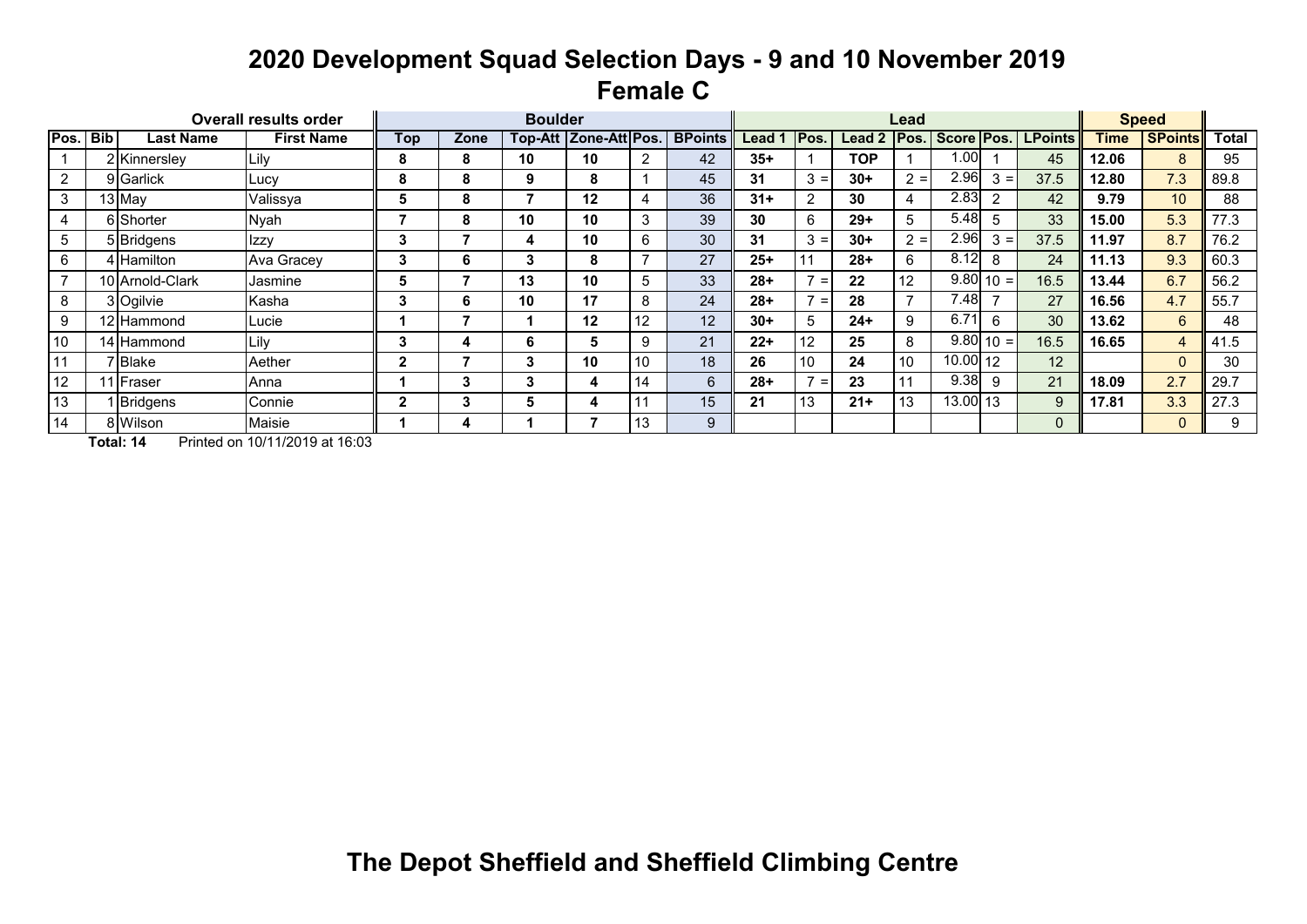# **2020 Development Squad Selection Days - 9 and 10 November 2019 Female C**

|      |            |                 | <b>Overall results order</b> |     |      | <b>Boulder</b> |               |             |                |        |       |        | Lead            |                       |                        |                |       | <b>Speed</b>   |              |
|------|------------|-----------------|------------------------------|-----|------|----------------|---------------|-------------|----------------|--------|-------|--------|-----------------|-----------------------|------------------------|----------------|-------|----------------|--------------|
| Pos. | <b>Bib</b> | Last Name       | <b>First Name</b>            | Top | Zone | Top-Att        | Zone-Att Pos. |             | <b>BPoints</b> | Lead   | Pos.  | Lead 2 | lPos.           | Score Pos.            |                        | <b>LPoints</b> | Time  | <b>SPoints</b> | <b>Total</b> |
|      |            | 2 Kinnersley    | Lily                         | 8   | 8    | 10             | 10            |             | 42             | $35+$  |       | TOP    |                 | 1.00                  |                        | 45             | 12.06 | 8              | 95           |
| 2    |            | 9 Garlick       | Lucy                         | 8   | 8    | 9              | 8             |             | 45             | 31     | $3 =$ | $30+$  | $2 =$           | 2.96                  | $3 =$                  | 37.5           | 12.80 | 7.3            | 89.8         |
| 3    |            | 13 May          | Valissya                     | Ð   | 8    |                | 12            |             | 36             | $31 +$ | 2     | 30     | 4               | 2.83                  | $\mathcal{P}$          | 42             | 9.79  | 10             | 88           |
| 4    |            | 6 Shorter       | Nyah                         |     | 8    | 10             | 10            | 3           | 39             | 30     | 6     | $29+$  | 5               | 5.48                  | 5                      | 33             | 15.00 | 5.3            | 77.3         |
| 5    |            | 5 Bridgens      | Izzy                         | 3   |      | 4              | 10            | 6           | 30             | 31     | $3 =$ | $30+$  | $2 =$           | 2.96                  | $3 =$                  | 37.5           | 11.97 | 8.7            | 76.2         |
| 6    |            | 4 Hamilton      | Ava Gracey                   |     |      | 3              | 8             |             | 27             | $25+$  |       | $28+$  | 6               | 8.12                  | 8                      | 24             | 11.13 | 9.3            | 60.3         |
|      |            | 10 Arnold-Clark | Jasmine                      | C   |      | 13             | 10            | $5^{\circ}$ | 33             | $28+$  | $=$   | 22     | 12 <sup>°</sup> |                       | $\overline{9.80}$ 10 = | 16.5           | 13.44 | 6.7            | 56.2         |
| 8    |            | 3 Ogilvie       | Kasha                        | 3   | n    | 10             | 17            | 8           | 24             | $28+$  | $=$   | 28     |                 | 7.48                  |                        | 27             | 16.56 | 4.7            | 55.7         |
| 9    |            | 12 Hammond      | Lucie                        |     |      |                | 12            | 12          | 12             | $30+$  | 5     | $24+$  | 9               | 6.71                  | 6                      | 30             | 13.62 | 6              | 48           |
| 10   |            | 14 Hammond      | Lily                         | з   |      | 6              | 5             |             | 21             | $22+$  | 12    | 25     | 8               |                       | $\overline{9.80}$ 10 = | 16.5           | 16.65 | 4              | 41.5         |
| 11   |            | 'IBlake         | Aether                       |     |      | 3              | 10            | 10          | 18             | 26     | 10    | 24     | 10              | $\overline{10.00}$ 12 |                        | 12             |       | $\Omega$       | 30           |
| 12   |            | I Fraser        | Anna                         |     |      |                | 4             | 14          | 6              | $28+$  | $=$   | 23     |                 | 9.38                  | 9                      | 21             | 18.09 | 2.7            | 29.7         |
| 13   |            | Bridgens        | Connie                       |     | 3.   | b.             | 4             | 11          | 15             | 21     | 13    | $21+$  | 13              | $13.00$ 13            |                        | 9              | 17.81 | 3.3            | 27.3         |
| 14   |            | 8 Wilson        | Maisie                       |     |      |                |               | 13          | 9              |        |       |        |                 |                       |                        | 0              |       | 0              | 9            |

**Total: 14** Printed on 10/11/2019 at 16:03

**The Depot Sheffield and Sheffield Climbing Centre**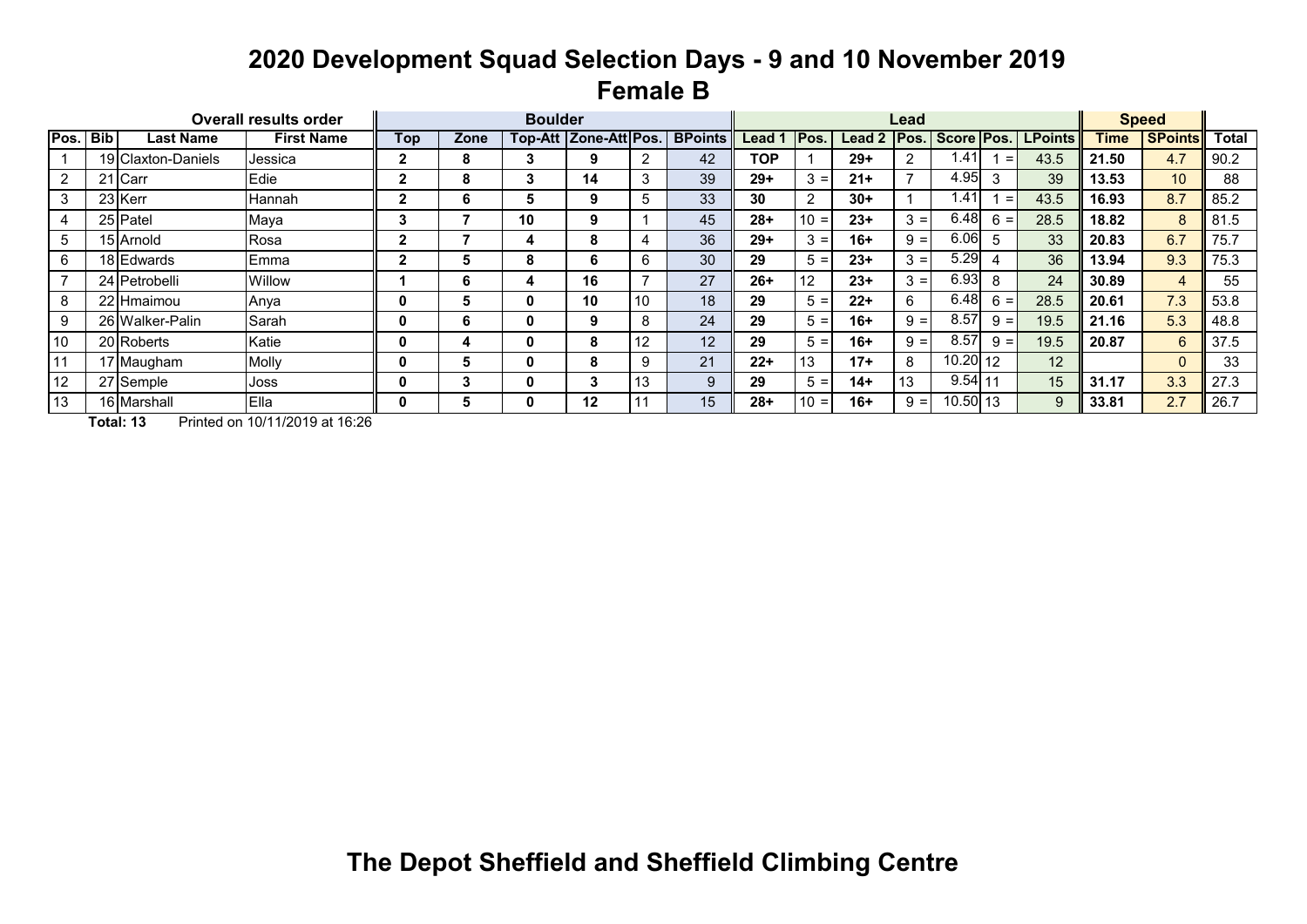# **2020 Development Squad Selection Days - 9 and 10 November 2019 Female B**

|      |            |                    | <b>Overall results order</b> |     |      | <b>Boulder</b> |                        |     |                |            |             |        | Lead  |            |       |                |             | <b>Speed</b>   |              |
|------|------------|--------------------|------------------------------|-----|------|----------------|------------------------|-----|----------------|------------|-------------|--------|-------|------------|-------|----------------|-------------|----------------|--------------|
| Pos. | <b>Bib</b> | Last Name          | <b>First Name</b>            | Top | Zone |                | Top-Att  Zone-Att Pos. |     | <b>BPoints</b> | Lead       | <b>Pos.</b> | Lead 2 | Pos.  | Score Pos. |       | <b>LPoints</b> | <b>Time</b> | <b>SPoints</b> | <b>Total</b> |
|      |            | 19 Claxton-Daniels | Jessica                      |     | 8    | 3              | 9                      |     | 42             | <b>TOP</b> |             | $29+$  | 2     | 1.41       | $=$   | 43.5           | 21.50       | 4.7            | 90.2         |
| 2    |            | 21 Carr            | Edie                         |     | 8    | 3              | 14                     | 3   | 39             | $29+$      | $3 =$       | $21+$  |       | 4.95       | 3     | 39             | 13.53       | 10             | 88           |
| 3    |            | 23 Kerr            | Hannah                       |     | 6    | Ð.             | 9                      | 5   | 33             | 30         | 2           | $30+$  |       | 1.41       | $=$   | 43.5           | 16.93       | 8.7            | 85.2         |
|      |            | 25 Patel           | Maya                         |     |      | 10             | 9                      |     | 45             | $28+$      | $10 =$      | $23+$  | $3 =$ | 6.48       | $6 =$ | 28.5           | 18.82       | 8              | 81.5         |
| 5    |            | 15 Arnold          | Rosa                         |     |      |                | 8                      |     | 36             | $29+$      | $3 =$       | $16+$  | $9 =$ | 6.06       | 5     | 33             | 20.83       | 6.7            | 75.7         |
| 6    |            | 18 Edwards         | Emma                         |     |      | 8              | 6                      | 6   | 30             | 29         | $5 =$       | $23+$  | $3 =$ | 5.29       |       | 36             | 13.94       | 9.3            | 75.3         |
|      |            | 24 Petrobelli      | Willow                       |     | 6    |                | 16                     |     | 27             | $26+$      | 12          | $23+$  | $3 =$ | 6.93       | 8     | 24             | 30.89       | 4              | 55           |
| 8    |            | 22 Hmaimou         | Anya                         |     |      |                | 10                     | 10  | 18             | 29         | $5 =$       | $22+$  | 6     | 6.48       | $6 =$ | 28.5           | 20.61       | 7.3            | 53.8         |
| 9    |            | 26 Walker-Palin    | Sarah                        |     | 6    |                | 9                      | 8   | 24             | 29         | $5 =$       | $16+$  | $9 =$ | 8.57       | $9 =$ | 19.5           | 21.16       | 5.3            | 48.8         |
| 10   |            | 20 Roberts         | Katie                        |     |      |                | 8                      | 12  | 12             | 29         | $5 =$       | $16+$  | $9 =$ | 8.57       | $9 =$ | 19.5           | 20.87       | 6              | 37.5         |
| 11   |            | 17 Maugham         | Molly                        |     | Ð.   | 0              | 8                      | 9   | 21             | $22+$      | 13          | $17+$  | 8     | $10.20$ 12 |       | 12             |             | 0              | 33           |
| 12   |            | 27 Semple          | Joss                         |     |      | 0              | 3                      | 13  | 9              | 29         | $5 =$       | $14+$  | 13    | $9.54$ 11  |       | 15             | 31.17       | 3.3            | 27.3         |
| 13   |            | 16 Marshall        | <b>Ella</b>                  |     | Ð.   |                | 12                     | 11، | 15             | $28+$      | $10 =$      | $16+$  | $9 =$ | 10.50 13   |       | 9              | 33.81       | 2.7            | 26.7         |

**Total: 13** Printed on 10/11/2019 at 16:26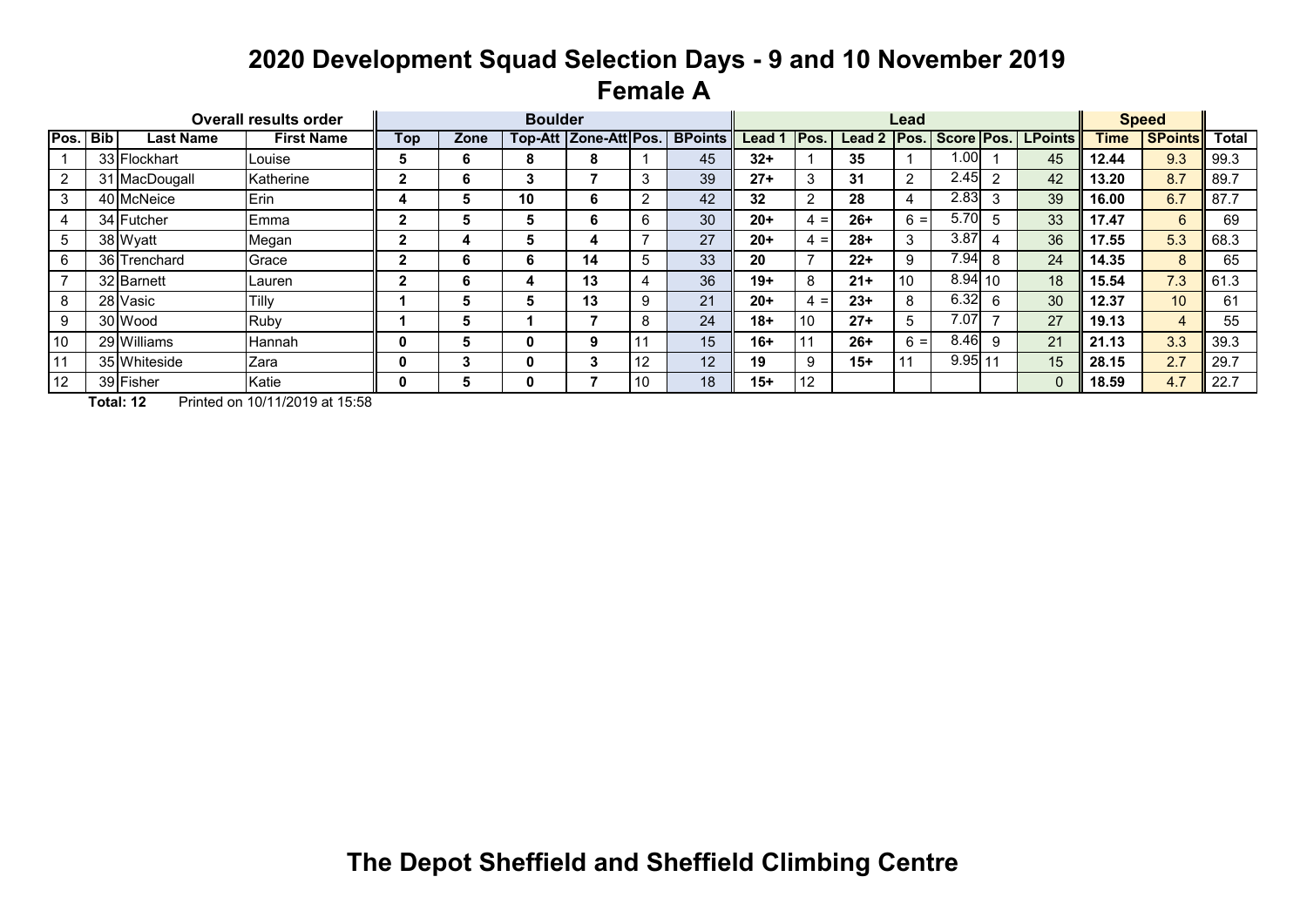# **2020 Development Squad Selection Days - 9 and 10 November 2019 Female A**

|      |                 |               | <b>Overall results order</b> |     |      | <b>Boulder</b> |                       |              |                |        |       |        | Lead  |            |                          |                |             | <b>Speed</b>   |              |
|------|-----------------|---------------|------------------------------|-----|------|----------------|-----------------------|--------------|----------------|--------|-------|--------|-------|------------|--------------------------|----------------|-------------|----------------|--------------|
| Pos. | <b>Bib</b>      | Last Name     | <b>First Name</b>            | Top | Zone |                | Top-Att Zone-Att Pos. |              | <b>BPoints</b> | Lead 1 | IPos. | Lead 2 | Pos.  | Score Pos. |                          | <b>LPoints</b> | <b>Time</b> | <b>SPoints</b> | <b>Total</b> |
|      |                 | 33 Flockhart  | Louise                       |     | ь    | ō              | 8                     |              | 45             | $32+$  |       | 35     |       | 1.00       |                          | 45             | 12.44       | 9.3            | 99.3         |
| 2    |                 | 31 MacDougall | Katherine                    |     | 6    | 3              |                       | 3            | 39             | $27+$  | 3     | 31     | 2     | 2.45       | $\mathcal{P}$            | 42             | 13.20       | 8.7            | 89.7         |
| 3    |                 | 40 McNeice    | Erin                         |     |      | 10             | 6                     |              | 42             | 32     | റ     | 28     |       | 2.83       | 3                        | 39             | 16.00       | 6.7            | 87.7         |
|      |                 | 34 Futcher    | Emma                         |     |      | C              | 6                     | ь.           | 30             | $20+$  | $4 =$ | $26+$  | $6 =$ | 5.70       | 5                        | 33             | 17.47       | 6              | 69           |
| 5    |                 | 38 Wyatt      | Megan                        |     |      | n.             | 4                     |              | 27             | $20+$  | $4 =$ | $28+$  | 3     | 3.87       |                          | 36             | 17.55       | 5.3            | 68.3         |
| 6    |                 | 36 Trenchard  | Grace                        |     | 6    | 6.             | 14                    | <sub>5</sub> | 33             | 20     |       | $22+$  | 9     | 7.94       | 8                        | 24             | 14.35       | 8              | 65           |
|      |                 | 32 Barnett    | Lauren                       |     | 6    |                | 13                    |              | 36             | $19+$  | 8     | $21+$  | 10    | $8.94$ 10  |                          | 18             | 15.54       | 7.3            | 61.3         |
| 8    | 28 <sup>1</sup> | Vasic         | Tilly                        |     |      | n.             | 13                    | 9            | 21             | $20+$  | $4 =$ | $23+$  | 8     | 6.32       | 6                        | 30             | 12.37       | 10             | 61           |
| 9    |                 | 30 Wood       | <b>Ruby</b>                  |     |      |                |                       |              | 24             | $18+$  | 10    | $27+$  | 5     | 7.07       | $\overline{\phantom{a}}$ | 27             | 19.13       | 4              | 55           |
| 10   |                 | 29 Williams   | <b>Hannah</b>                |     |      |                | 9                     |              | 15             | $16+$  |       | $26+$  | $6 =$ | 8.46       | 9                        | 21             | 21.13       | 3.3            | 39.3         |
| 11   |                 | 35 Whiteside  | Zara                         |     |      |                | 3                     | 12           | 12             | 19     | 9     | $15+$  |       | 9.95       | 11                       | 15             | 28.15       | 2.7            | 29.7         |
| 12   |                 | 39 Fisher     | Katie                        |     |      |                |                       | 10           | 18             | $15+$  | 12    |        |       |            |                          | $\Omega$       | 18.59       | 4.7            | 22.7         |

**Total: 12** Printed on 10/11/2019 at 15:58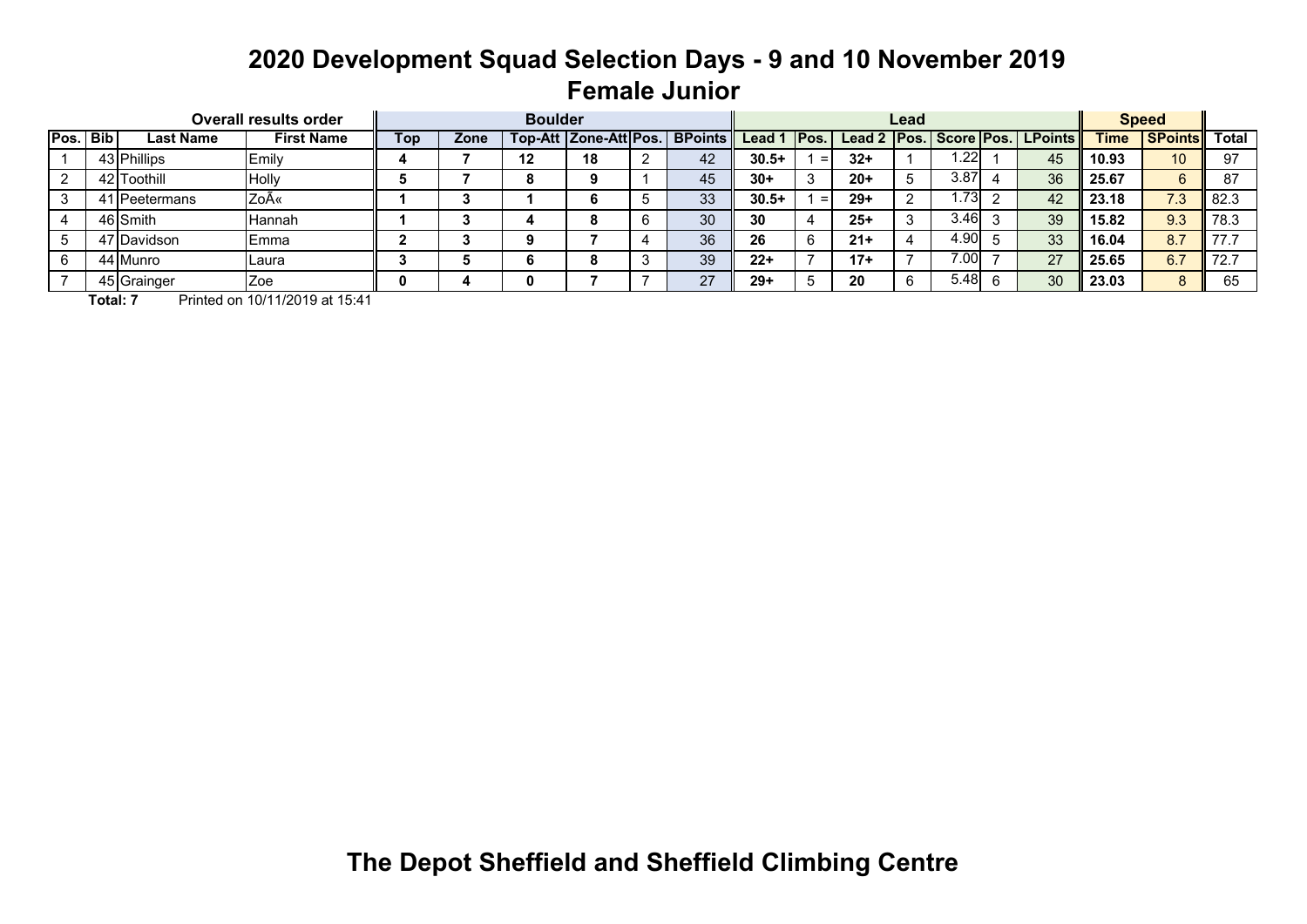# **2020 Development Squad Selection Days - 9 and 10 November 2019 Female Junior**

|          |                  | <b>Overall results order</b> |     |      | <b>Boulder</b> |    |                                 |         |       |       | Lead |      |                                        |             | <b>Speed</b>         |      |
|----------|------------------|------------------------------|-----|------|----------------|----|---------------------------------|---------|-------|-------|------|------|----------------------------------------|-------------|----------------------|------|
| Pos. Bib | <b>Last Name</b> | <b>First Name</b>            | Top | Zone |                |    | Top-Att Zone-Att Pos.   BPoints | Lead 1  | IPos. |       |      |      | Lead 2   Pos.   Score   Pos.   LPoints | <b>Time</b> | <b>SPoints</b> Total |      |
|          | 43 Phillips      | Emily                        |     |      | 12             | 18 | 42                              | $30.5+$ | $=$   | $32+$ |      | .221 | 45                                     | 10.93       | 10                   | 97   |
|          | 42 Toothill      | Holly                        |     |      |                |    | 45                              | $30+$   |       | $20+$ |      | 3.87 | 36                                     | 25.67       |                      |      |
|          | 41 Peetermans    | Zoë                          |     |      |                |    | 33                              | $30.5+$ | $=$   | $29+$ |      | .73  | 42                                     | 23.18       | 7.3                  | 82.3 |
|          | 46 Smith         | Hannah                       |     |      |                |    | 30                              | 30      |       | $25+$ |      | 3.46 | 39                                     | 15.82       | 9.3                  | 78.3 |
|          | 47 Davidson      | IEmma                        |     |      |                |    | 36                              | 26      |       | $21+$ |      | 4.90 | 33                                     | 16.04       | 8.7                  |      |
|          | 44 Munro         | Laura                        |     |      |                |    | 39                              | $22+$   |       | $17+$ |      | 7.00 | 27                                     | 25.65       | 6.7                  |      |
|          | 45 Grainger      | Zoe                          |     |      | o              |    | 27                              | $29+$   |       | 20    |      | 5.48 | 30                                     | 23.03       | 8                    | 65   |

**Total: 7** Printed on 10/11/2019 at 15:41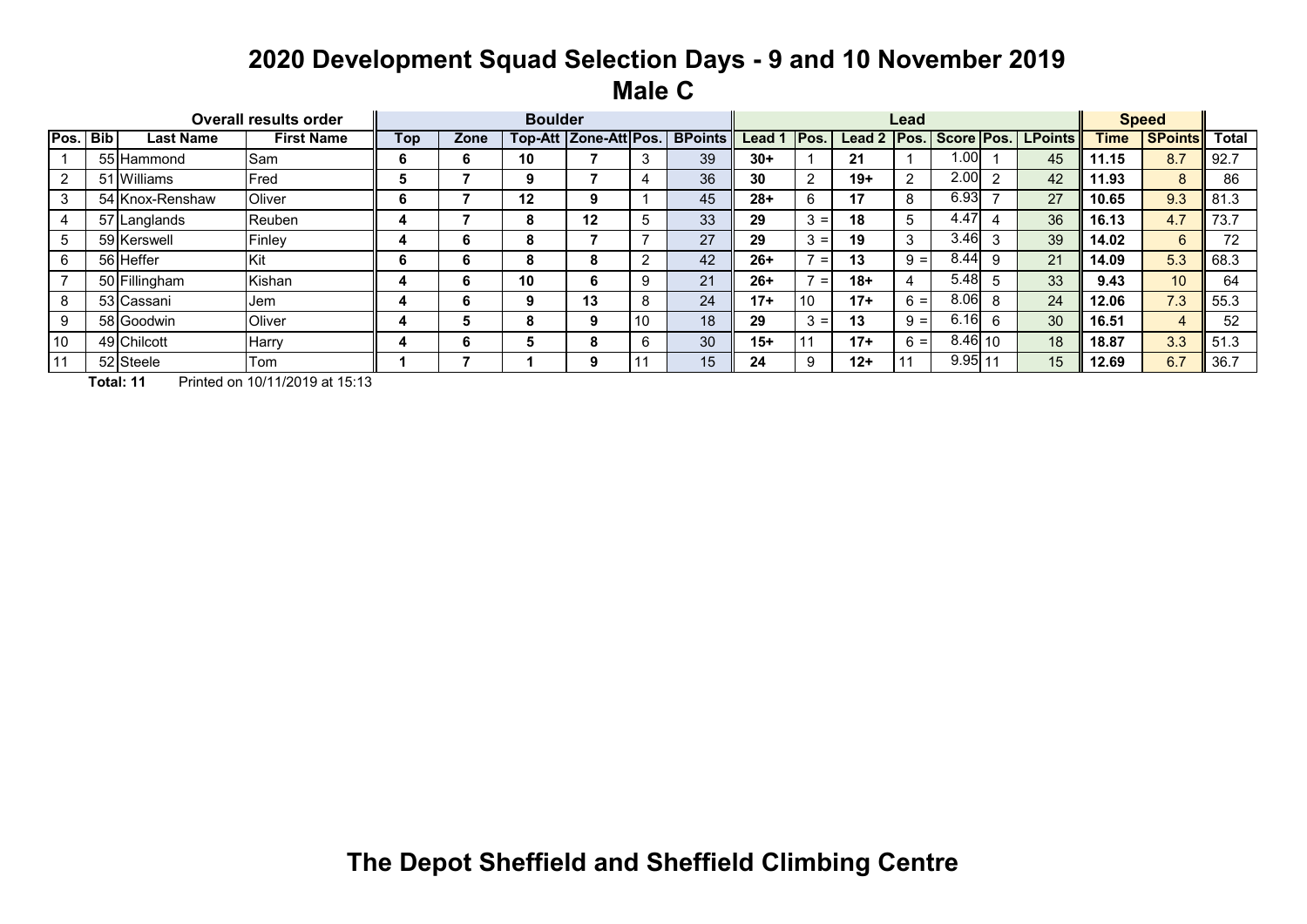### **2020 Development Squad Selection Days - 9 and 10 November 2019 Male C**

|      |       |                  | <b>Overall results order</b> |            |      | <b>Boulder</b> |                           |    |                |       |            |        | Lead  |                   |    |                                |             | <b>Speed</b>   |              |
|------|-------|------------------|------------------------------|------------|------|----------------|---------------------------|----|----------------|-------|------------|--------|-------|-------------------|----|--------------------------------|-------------|----------------|--------------|
| Pos. | l Bib | <b>Last Name</b> | <b>First Name</b>            | <b>Top</b> | Zone |                | Top-Att   Zone-Att   Pos. |    | <b>BPoints</b> | Lead  | lPos.      | Lead 2 |       |                   |    | <b>Pos. Score Pos. LPoints</b> | <b>Time</b> | <b>SPoints</b> | <b>Total</b> |
|      |       | 55 Hammond       | Sam                          |            | ь    | 10             |                           |    | 39             | $30+$ |            | 21     |       | 00. ا             |    | 45                             | 11.15       | 8.7            | 92.7         |
|      |       | 51 Williams      | Fred                         |            |      | 9              |                           |    | 36             | 30    | $\sim$     | $19+$  | 2     | 2.00              | າ  | 42                             | 11.93       | 8              | 86           |
|      |       | 54 Knox-Renshaw  | Oliver                       |            |      | 12             | 9                         |    | 45             | $28+$ | 6          | 17     | 8     | 6.93              |    | 27                             | 10.65       | 9.3            | 81.3         |
|      |       | 57 Langlands     | Reuben                       |            |      | ō              | 12                        |    | 33             | 29    | ົ<br>$3 =$ | 18     | 5     | $\overline{4.47}$ |    | 36                             | 16.13       | 4.7            | 73.7         |
|      |       | 59 Kerswell      | Finley                       |            | ь    | ο              |                           |    | 27             | 29    | 3<br>$=$   | 19     | 3     | 3.46              | 3  | 39                             | 14.02       | 6              | 72           |
|      |       | 56 Heffer        | <b>Kit</b>                   |            | n    |                | 8                         |    | 42             | $26+$ | $=$        | 13     | $9 =$ | 8.44              | g  | 21                             | 14.09       | 5.3            | 68.3         |
|      |       | 50 Fillingham    | Kishan                       |            | ь    | 10             | 6                         |    | 21             | $26+$ | $=$        | $18+$  | 4     | 5.48              |    | 33                             | 9.43        | 10             | 64           |
|      |       | 53 Cassani       | Jem                          |            | ь    | 9              | 13                        |    | 24             | $17+$ | 10         | $17+$  | $6 =$ | 8.06              | 8  | 24                             | 12.06       | 7.3            | 55.3         |
|      |       | 58 Goodwin       | Oliver                       |            |      |                | 9                         | 10 | 18             | 29    | $3 =$      | 13     | $9 =$ | 6.16              | 6  | 30                             | 16.51       | 4              | 52           |
| 10   |       | 49 Chilcott      | ∣Harry                       |            | ь    | n              | 8                         |    | 30             | $15+$ |            | $17+$  | $6 =$ | $8.46$ 10         |    | 18                             | 18.87       | 3.3            | 51.3         |
|      |       | 52 Steele        | Tom                          |            |      |                | 9                         |    | 15             | 24    | ∩          | $12+$  |       | 9.95              | 11 | 15                             | 12.69       | 6.7            | 36.7         |

**Total: 11** Printed on 10/11/2019 at 15:13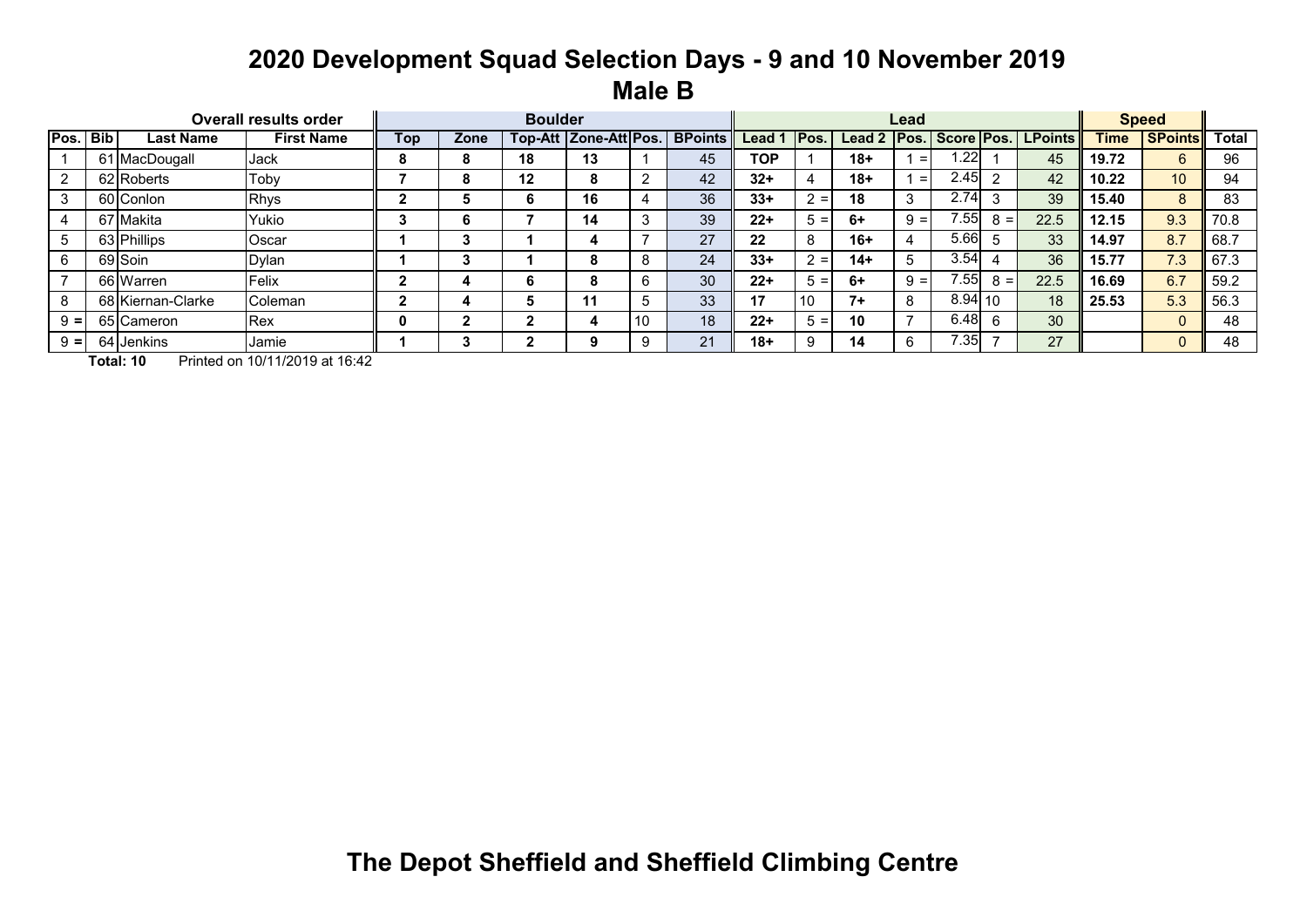### **2020 Development Squad Selection Days - 9 and 10 November 2019 Male B**

|       |        |                   | <b>Overall results order</b> |     |      | <b>Boulder</b> |                       |    |                |            |         |        | Lead         |           |       |                    |             | <b>Speed</b>   |              |
|-------|--------|-------------------|------------------------------|-----|------|----------------|-----------------------|----|----------------|------------|---------|--------|--------------|-----------|-------|--------------------|-------------|----------------|--------------|
| Pos.  | l Bibl | <b>Last Name</b>  | <b>First Name</b>            | Top | Zone |                | Top-Att Zone-Att Pos. |    | <b>BPoints</b> | Lead 1     | IPos.   | Lead 2 | IPos.        |           |       | Score Pos. LPoints | <b>Time</b> | <b>SPoints</b> | <b>Total</b> |
|       |        | 61 MacDougall     | <b>Jack</b>                  |     | 8    | 18             | 13                    |    | 45             | <b>TOP</b> |         | 18+    | $=$          | .22       |       | 45                 | 19.72       | 6              | 96           |
|       |        | 62 Roberts        | Toby                         |     | ō    | 12             | 8                     |    | 42             | $32+$      |         | 18+    | $=$          | 2.45      | ◠     | 42                 | 10.22       | 10             | 94           |
|       |        | 60 Conlon         | <b>Rhys</b>                  |     |      |                | 16                    |    | 36             | $33+$      | $=$     | 18     | 3            | 2.74      |       | 39                 | 15.40       | 8              | 83           |
|       |        | 67 Makita         | Yukio                        |     |      |                | 14                    |    | 39             | $22+$      | $=$     | 6+     | $9 =$        | 7.551     | $8 =$ | 22.5               | 12.15       | 9.3            | 70.8         |
|       |        | 63 Phillips       | Oscar                        |     |      |                |                       |    | 27             | 22         |         | 16+    |              | 5.66      |       | 33                 | 14.97       | 8.7            | 68.7         |
|       |        | 69 Soin           | <b>Dylan</b>                 |     |      |                | 8                     |    | 24             | $33+$      | $2 = 1$ | 14+    | 5            | 3.54      |       | 36                 | 15.77       | 7.3            | 67.3         |
|       |        | 66 Warren         | Felix                        |     |      | ь              | 8                     |    | 30             | $22+$      | $=$     | 6+     | $9 =$        | 7.55      | $8 =$ | 22.5               | 16.69       | 6.7            | 59.2         |
|       |        | 68 Kiernan-Clarke | <b>Coleman</b>               |     |      |                | 11                    |    | 33             | 17         | 10      | 7+     | $\circ$<br>Õ | $8.94$ 10 |       | 18                 | 25.53       | 5.3            | 56.3         |
| $=$   |        | 65 Cameron        | Rex                          |     |      |                |                       | 10 | 18             | $22+$      | $=$     | 10     | -            | 6.48      |       | 30                 |             |                | 48           |
| $9 =$ |        | 64 Jenkins        | IJamie                       |     |      |                | 9                     |    | 21             | $18+$      |         | 14     |              | 7.35      |       | 27                 |             |                | 48           |

**Total: 10** Printed on 10/11/2019 at 16:42

**The Depot Sheffield and Sheffield Climbing Centre**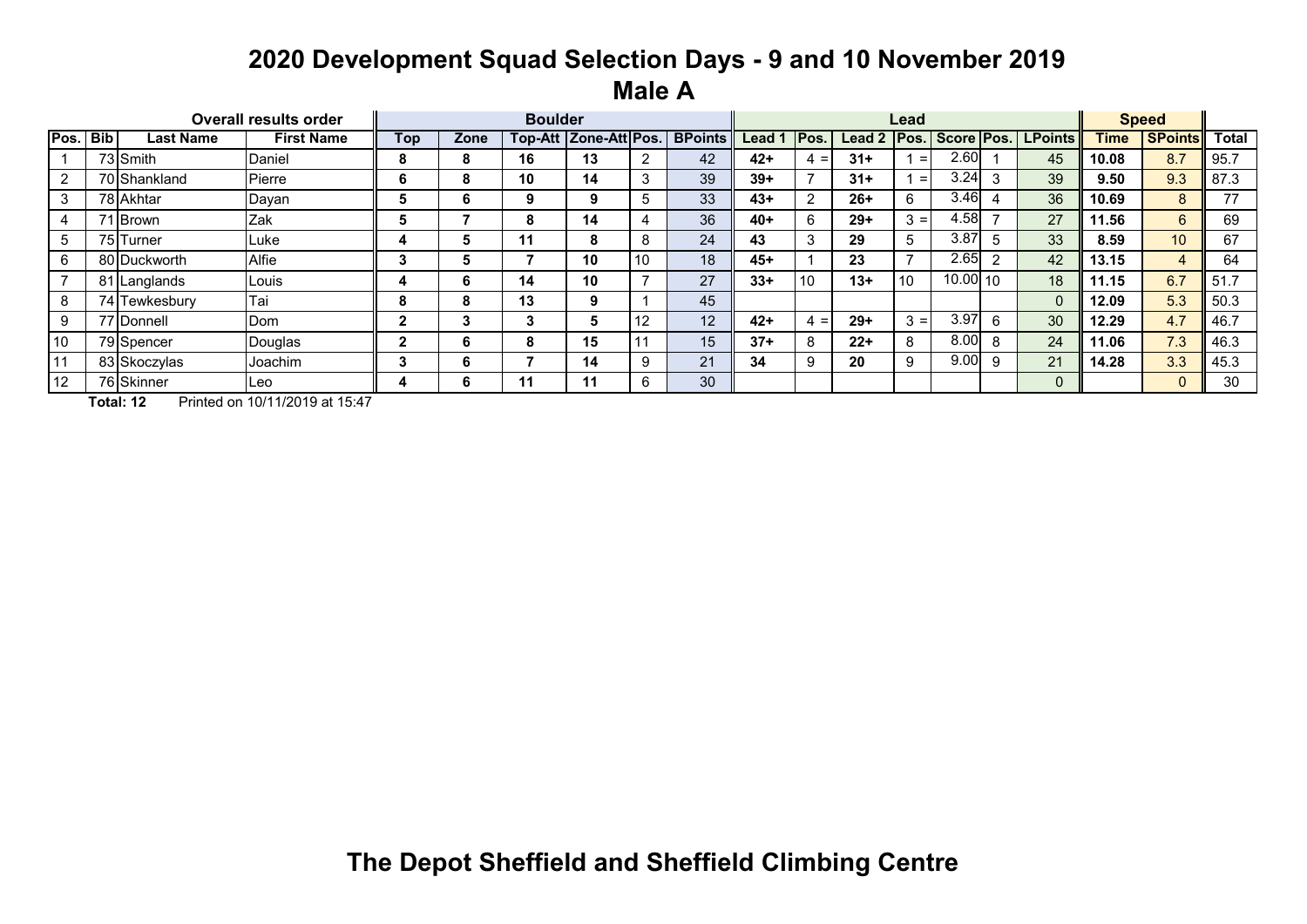### **2020 Development Squad Selection Days - 9 and 10 November 2019 Male A**

|             |       |                  | <b>Overall results order</b> |     |      | <b>Boulder</b> |                       |    |                |        |       |               | Lead  |            |                |                 |             | <b>Speed</b>   |              |
|-------------|-------|------------------|------------------------------|-----|------|----------------|-----------------------|----|----------------|--------|-------|---------------|-------|------------|----------------|-----------------|-------------|----------------|--------------|
| Pos.        | l Bib | <b>Last Name</b> | <b>First Name</b>            | Top | Zone |                | Top-Att Zone-Att Pos. |    | <b>BPoints</b> | Lead 1 | IPos. | <b>Lead 2</b> | Pos.  | Score Pos. |                | <b>LPoints</b>  | <b>Time</b> | <b>SPoints</b> | <b>Total</b> |
|             |       | 73 Smith         | Daniel                       | 8   | 8    | 16             | 13                    | ⌒  | 42             | $42+$  | $4 =$ | $31 +$        | $=$   | 2.60       |                | 45              | 10.08       | 8.7            | 95.7         |
| 2           |       | 70 Shankland     | Pierre                       | O   | 8    | 10             | 14                    | 3  | 39             | $39+$  |       | $31 +$        | $=$   | 3.24       | 3              | 39              | 9.50        | 9.3            | 87.3         |
|             |       | 78 Akhtar        | Dayan                        |     | 6    | 9              | 9                     |    | 33             | $43+$  | 2     | $26+$         | 6     | 3.46       | $\overline{A}$ | 36              | 10.69       | 8              | 77           |
|             |       | 71 Brown         | Zak                          |     |      | 8              | 14                    |    | 36             | $40+$  | 6     | $29+$         | $3 =$ | 4.58       | <u>т</u>       | 27              | 11.56       | 6              | 69           |
| $5^{\circ}$ |       | 75 Turner        | Luke                         |     | Ð.   | 11             | 8                     | 8  | 24             | 43     | 3     | 29            | 5     | 3.87       | 5              | 33 <sup>°</sup> | 8.59        | 10             | 67           |
| 6           |       | 80 Duckworth     | Alfie                        |     | Ð.   |                | 10                    | 10 | 18             | $45+$  |       | 23            |       | 2.65       | $\overline{2}$ | 42              | 13.15       | 4              | 64           |
|             |       | 81 Langlands     | Louis                        |     | 6.   | 14             | 10                    |    | 27             | $33+$  | 10    | $13+$         | 10    | 10.00110   |                | 18              | 11.15       | 6.7            | 51.7         |
| 8           |       | 74 Tewkesbury    | Tai                          | 8   | 8    | 13             | 9                     |    | 45             |        |       |               |       |            |                | $\Omega$        | 12.09       | 5.3            | 50.3         |
| 9           |       | 77 Donnell       | Dom                          |     |      | 3              | b                     | 12 | 12             | $42+$  | $4 =$ | $29+$         | $3 =$ | 3.97       | 6              | 30              | 12.29       | 4.7            | 46.7         |
| 10          |       | 79 Spencer       | Douglas                      |     | b    | 8              | 15                    |    | 15             | $37+$  | 8     | $22+$         | 8     | 8.00       | 8              | 24              | 11.06       | 7.3            | 46.3         |
| 11          |       | 83 Skoczylas     | Joachim                      |     | b    |                | 14                    | 9  | 21             | 34     | 9     | 20            | 9     | 9.00       | 9              | 21              | 14.28       | 3.3            | 45.3         |
| 12          |       | 76 Skinner       | lLeo.                        |     | b    | 11             | 11                    | 6  | 30             |        |       |               |       |            |                |                 |             |                | 30           |

**Total: 12** Printed on 10/11/2019 at 15:47